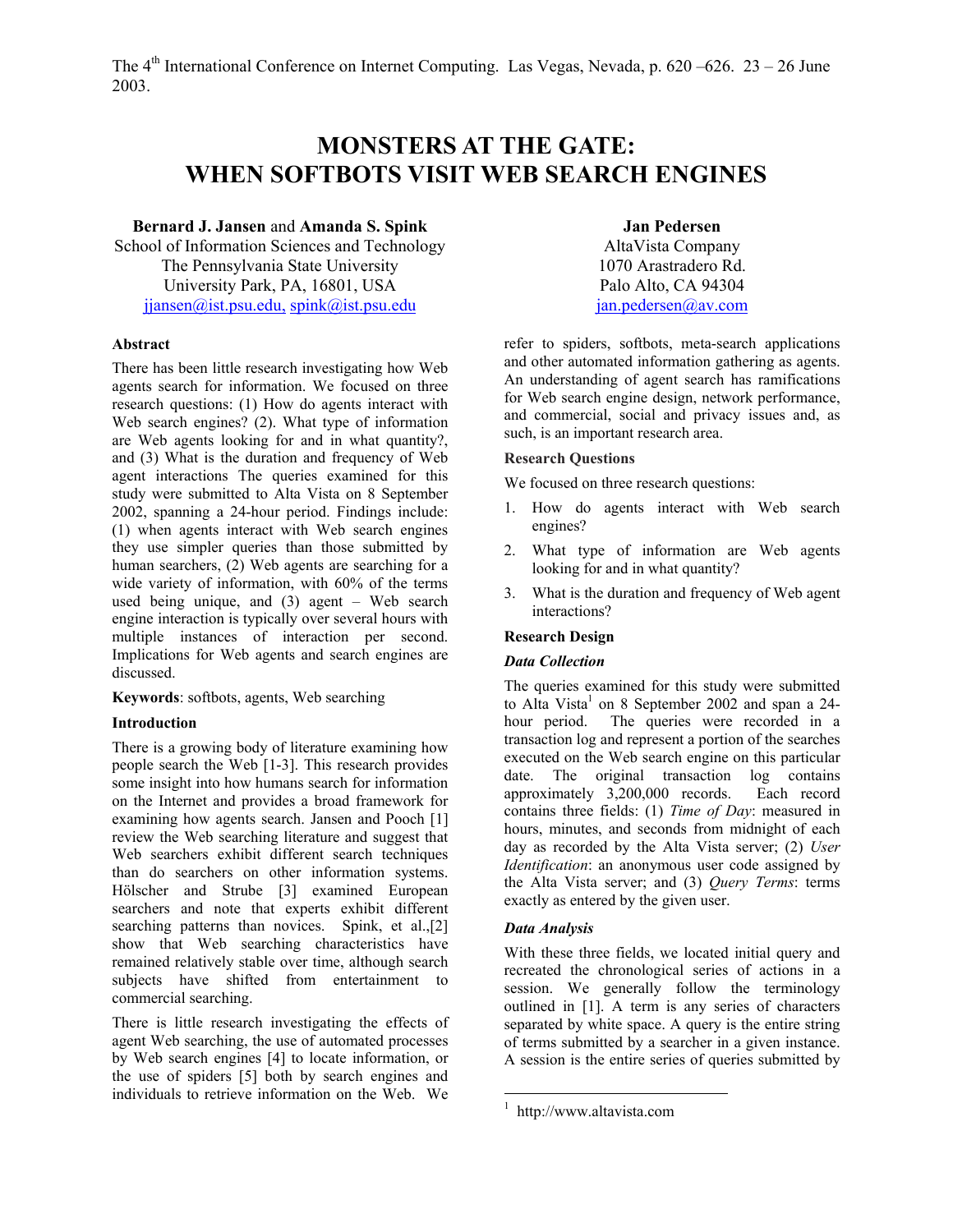# **MONSTERS AT THE GATE: WHEN SOFTBOTS VISIT WEB SEARCH ENGINES**

# **Bernard J. Jansen** and **Amanda S. Spink**

School of Information Sciences and Technology The Pennsylvania State University University Park, PA, 16801, USA [jjansen@ist.psu.edu,](mailto:jjansen@ist.psu.edu) [spink@ist.psu.edu](mailto:aspink@ist.psu.edu)

#### **Abstract**

There has been little research investigating how Web agents search for information. We focused on three research questions: (1) How do agents interact with Web search engines? (2). What type of information are Web agents looking for and in what quantity?, and (3) What is the duration and frequency of Web agent interactions The queries examined for this study were submitted to Alta Vista on 8 September 2002, spanning a 24-hour period. Findings include: (1) when agents interact with Web search engines they use simpler queries than those submitted by human searchers, (2) Web agents are searching for a wide variety of information, with 60% of the terms used being unique, and (3) agent – Web search engine interaction is typically over several hours with multiple instances of interaction per second. Implications for Web agents and search engines are discussed.

**Keywords**: softbots, agents, Web searching

## **Introduction**

There is a growing body of literature examining how people search the Web [1-3]. This research provides some insight into how humans search for information on the Internet and provides a broad framework for examining how agents search. Jansen and Pooch [1] review the Web searching literature and suggest that Web searchers exhibit different search techniques than do searchers on other information systems. Hölscher and Strube [3] examined European searchers and note that experts exhibit different searching patterns than novices. Spink, et al.,[2] show that Web searching characteristics have remained relatively stable over time, although search subjects have shifted from entertainment to commercial searching.

There is little research investigating the effects of agent Web searching, the use of automated processes by Web search engines [4] to locate information, or the use of spiders [5] both by search engines and individuals to retrieve information on the Web. We

**Jan Pedersen**  AltaVista Company 1070 Arastradero Rd. Palo Alto, CA 94304 [jan.pedersen@av.com](mailto:jan.pedersen@av.com) 

refer to spiders, softbots, meta-search applications and other automated information gathering as agents. An understanding of agent search has ramifications for Web search engine design, network performance, and commercial, social and privacy issues and, as such, is an important research area.

### **Research Questions**

We focused on three research questions:

- 1. How do agents interact with Web search engines?
- 2. What type of information are Web agents looking for and in what quantity?
- 3. What is the duration and frequency of Web agent interactions?

## **Research Design**

## *Data Collection*

The queries examined for this study were submitted to Alta Vista<sup>[1](#page-0-0)</sup> on 8 September 2002 and span a 24hour period. The queries were recorded in a transaction log and represent a portion of the searches executed on the Web search engine on this particular date. The original transaction log contains approximately 3,200,000 records. Each record contains three fields: (1) *Time of Day*: measured in hours, minutes, and seconds from midnight of each day as recorded by the Alta Vista server; (2) *User Identification*: an anonymous user code assigned by the Alta Vista server; and (3) *Query Terms*: terms exactly as entered by the given user.

## *Data Analysis*

 $\overline{a}$ 

With these three fields, we located initial query and recreated the chronological series of actions in a session. We generally follow the terminology outlined in [1]. A term is any series of characters separated by white space. A query is the entire string of terms submitted by a searcher in a given instance. A session is the entire series of queries submitted by

<span id="page-0-0"></span><sup>1</sup> http://www.altavista.com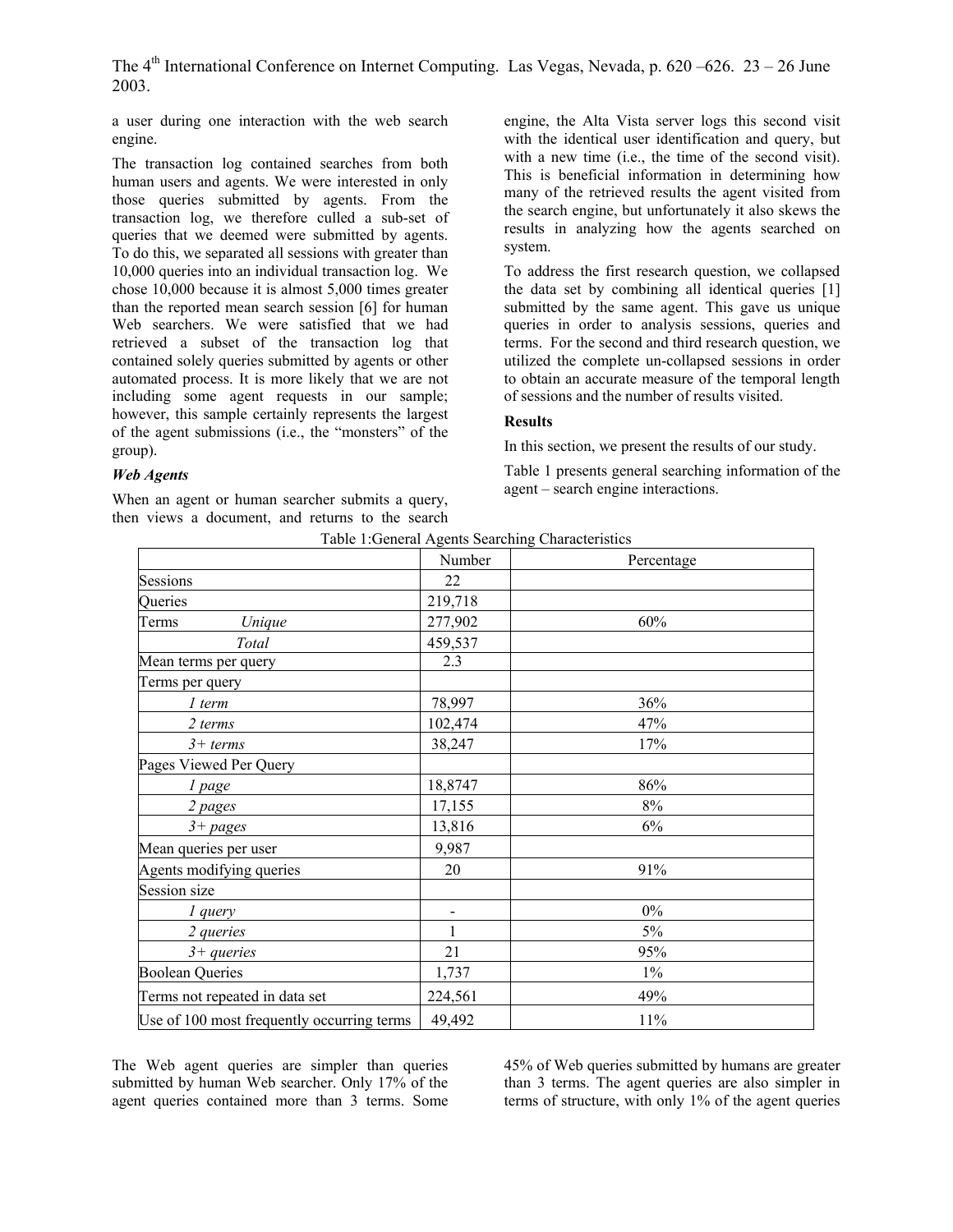a user during one interaction with the web search engine.

The transaction log contained searches from both human users and agents. We were interested in only those queries submitted by agents. From the transaction log, we therefore culled a sub-set of queries that we deemed were submitted by agents. To do this, we separated all sessions with greater than 10,000 queries into an individual transaction log. We chose 10,000 because it is almost 5,000 times greater than the reported mean search session [6] for human Web searchers. We were satisfied that we had retrieved a subset of the transaction log that contained solely queries submitted by agents or other automated process. It is more likely that we are not including some agent requests in our sample; however, this sample certainly represents the largest of the agent submissions (i.e., the "monsters" of the group).

engine, the Alta Vista server logs this second visit with the identical user identification and query, but with a new time (i.e., the time of the second visit). This is beneficial information in determining how many of the retrieved results the agent visited from the search engine, but unfortunately it also skews the results in analyzing how the agents searched on system.

To address the first research question, we collapsed the data set by combining all identical queries [1] submitted by the same agent. This gave us unique queries in order to analysis sessions, queries and terms. For the second and third research question, we utilized the complete un-collapsed sessions in order to obtain an accurate measure of the temporal length of sessions and the number of results visited.

### **Results**

In this section, we present the results of our study.

Table 1 presents general searching information of the agent – search engine interactions.

### *Web Agents*

When an agent or human searcher submits a query, then views a document, and returns to the search

|                                            | Number                   | raone i. Senerar regents bearening characteristics<br>Percentage |
|--------------------------------------------|--------------------------|------------------------------------------------------------------|
| Sessions                                   | 22                       |                                                                  |
| Queries                                    | 219,718                  |                                                                  |
| Terms<br>Unique                            | 277,902                  | 60%                                                              |
| Total                                      | 459,537                  |                                                                  |
| Mean terms per query                       | 2.3                      |                                                                  |
| Terms per query                            |                          |                                                                  |
| 1 term                                     | 78,997                   | 36%                                                              |
| 2 terms                                    | 102,474                  | 47%                                                              |
| $3+$ terms                                 | 38,247                   | 17%                                                              |
| Pages Viewed Per Query                     |                          |                                                                  |
| 1 page                                     | 18,8747                  | 86%                                                              |
| 2 pages                                    | 17,155                   | $8\%$                                                            |
| $3 + pages$                                | 13,816                   | 6%                                                               |
| Mean queries per user                      | 9,987                    |                                                                  |
| Agents modifying queries                   | 20                       | 91%                                                              |
| Session size                               |                          |                                                                  |
| 1 query                                    | $\overline{\phantom{a}}$ | $0\%$                                                            |
| 2 queries                                  | 1                        | $5\%$                                                            |
| $3 + queries$                              | 21                       | 95%                                                              |
| <b>Boolean Queries</b>                     | 1,737                    | $1\%$                                                            |
| Terms not repeated in data set             | 224,561                  | 49%                                                              |
| Use of 100 most frequently occurring terms | 49,492                   | 11%                                                              |

Table 1:General Agents Searching Characteristics

The Web agent queries are simpler than queries submitted by human Web searcher. Only 17% of the agent queries contained more than 3 terms. Some

45% of Web queries submitted by humans are greater than 3 terms. The agent queries are also simpler in terms of structure, with only 1% of the agent queries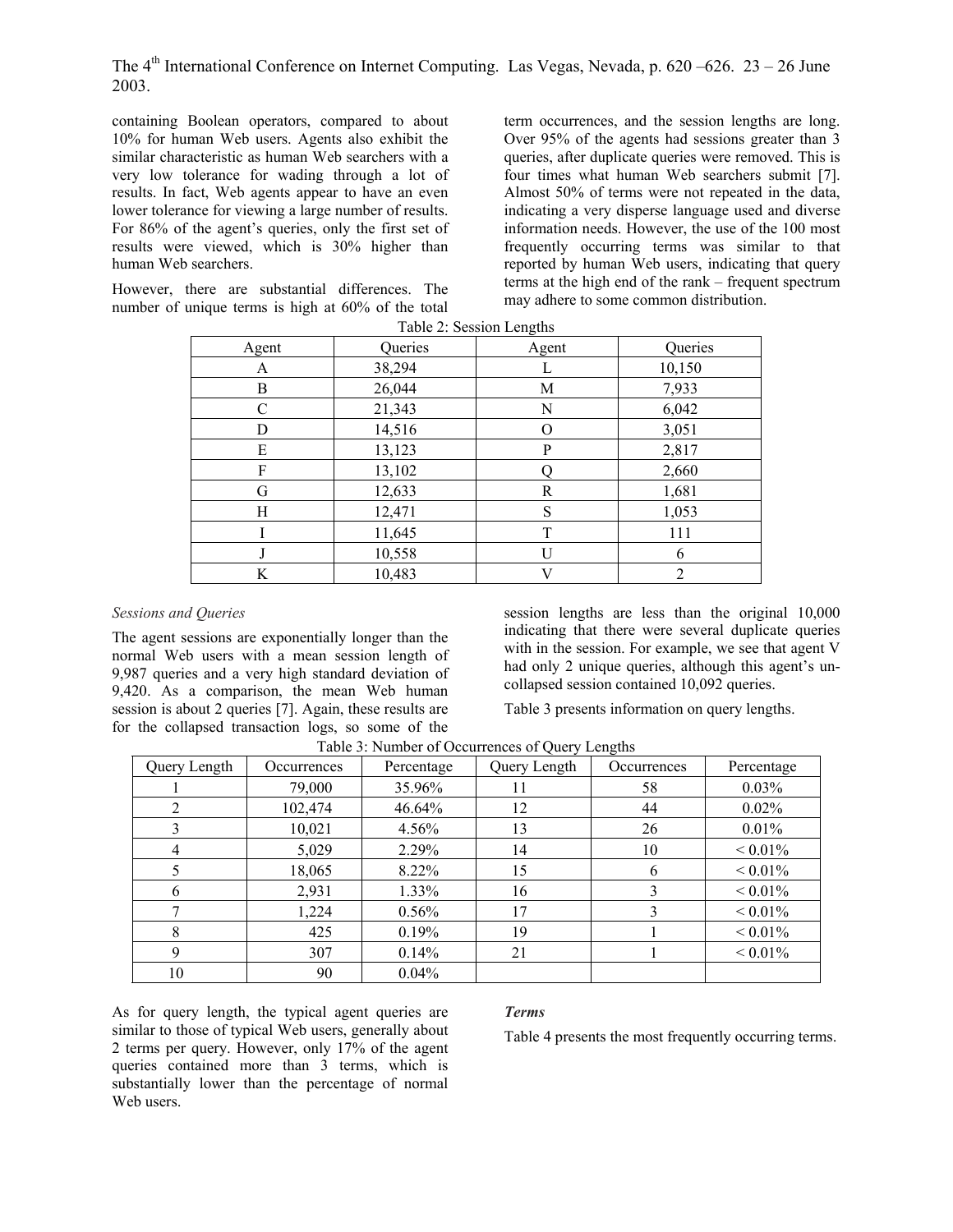containing Boolean operators, compared to about 10% for human Web users. Agents also exhibit the similar characteristic as human Web searchers with a very low tolerance for wading through a lot of results. In fact, Web agents appear to have an even lower tolerance for viewing a large number of results. For 86% of the agent's queries, only the first set of results were viewed, which is 30% higher than human Web searchers.

However, there are substantial differences. The number of unique terms is high at 60% of the total term occurrences, and the session lengths are long. Over 95% of the agents had sessions greater than 3 queries, after duplicate queries were removed. This is four times what human Web searchers submit [7]. Almost 50% of terms were not repeated in the data, indicating a very disperse language used and diverse information needs. However, the use of the 100 most frequently occurring terms was similar to that reported by human Web users, indicating that query terms at the high end of the rank – frequent spectrum may adhere to some common distribution.

| Agent | Queries | Agent        | Queries |
|-------|---------|--------------|---------|
| A     | 38,294  | L            | 10,150  |
| B     | 26,044  | M            | 7,933   |
| C     | 21,343  | N            | 6,042   |
| D     | 14,516  | O            | 3,051   |
| E     | 13,123  | $\mathbf{P}$ | 2,817   |
| F     | 13,102  |              | 2,660   |
| G     | 12,633  | R            | 1,681   |
| Н     | 12,471  | S            | 1,053   |
|       | 11,645  | T            | 111     |
|       | 10,558  | $\mathbf{U}$ | 6       |
| K     | 10,483  | V            | 2       |

### *Sessions and Queries*

The agent sessions are exponentially longer than the normal Web users with a mean session length of 9,987 queries and a very high standard deviation of 9,420. As a comparison, the mean Web human session is about 2 queries [7]. Again, these results are for the collapsed transaction logs, so some of the

session lengths are less than the original 10,000 indicating that there were several duplicate queries with in the session. For example, we see that agent V had only 2 unique queries, although this agent's uncollapsed session contained 10,092 queries.

Table 3 presents information on query lengths.

| Query Length   | Occurrences | Percentage | Query Length | Occurrences | Percentage         |
|----------------|-------------|------------|--------------|-------------|--------------------|
|                | 79,000      | 35.96%     | 11           | 58          | 0.03%              |
| 2              | 102,474     | 46.64%     | 12           | 44          | $0.02\%$           |
| 3              | 10,021      | 4.56%      | 13           | 26          | 0.01%              |
| $\overline{4}$ | 5,029       | 2.29%      | 14           | 10          | ${}_{\leq 0.01\%}$ |
| 5              | 18,065      | 8.22%      | 15           | 6           | ${}_{\leq 0.01\%}$ |
| 6              | 2,931       | 1.33%      | 16           | 3           | ${}_{\leq 0.01\%}$ |
|                | 1,224       | 0.56%      | 17           | 3           | ${}_{\leq 0.01\%}$ |
| 8              | 425         | 0.19%      | 19           |             | $< 0.01\%$         |
| 9              | 307         | 0.14%      | 21           |             | ${}_{\leq 0.01\%}$ |
| 10             | 90          | 0.04%      |              |             |                    |

Table 3: Number of Occurrences of Query Lengths

As for query length, the typical agent queries are similar to those of typical Web users, generally about 2 terms per query. However, only 17% of the agent queries contained more than 3 terms, which is substantially lower than the percentage of normal Web users.

## *Terms*

Table 4 presents the most frequently occurring terms.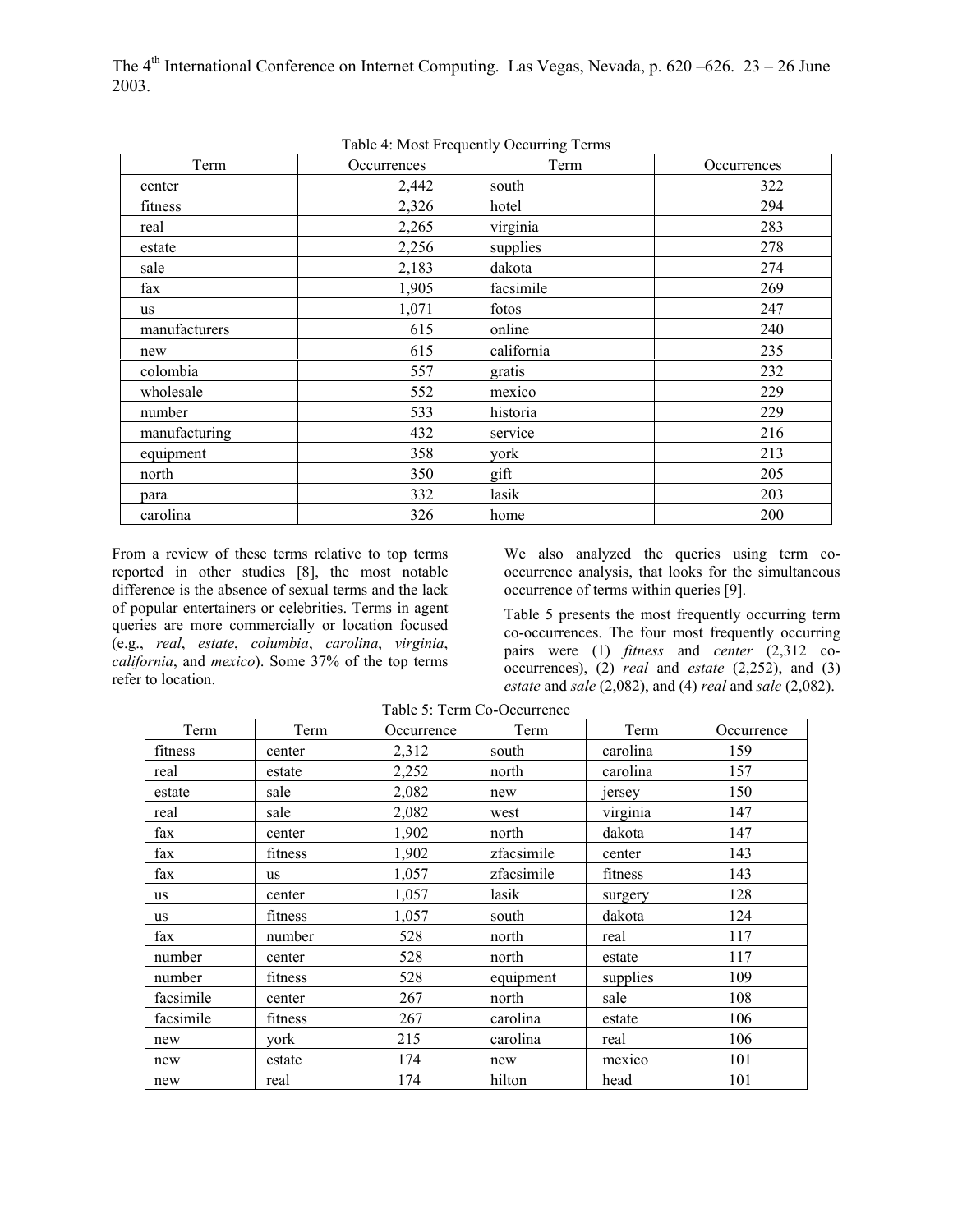| Term          | Occurrences | Term       | Occurrences |
|---------------|-------------|------------|-------------|
| center        | 2,442       | south      | 322         |
| fitness       | 2,326       | hotel      | 294         |
| real          | 2,265       | virginia   | 283         |
| estate        | 2,256       | supplies   | 278         |
| sale          | 2,183       | dakota     | 274         |
| fax           | 1,905       | facsimile  | 269         |
| <b>us</b>     | 1,071       | fotos      | 247         |
| manufacturers | 615         | online     | 240         |
| new           | 615         | california | 235         |
| colombia      | 557         | gratis     | 232         |
| wholesale     | 552         | mexico     | 229         |
| number        | 533         | historia   | 229         |
| manufacturing | 432         | service    | 216         |
| equipment     | 358         | york       | 213         |
| north         | 350         | gift       | 205         |
| para          | 332         | lasik      | 203         |
| carolina      | 326         | home       | 200         |

Table 4: Most Frequently Occurring Terms

From a review of these terms relative to top terms reported in other studies [8], the most notable difference is the absence of sexual terms and the lack of popular entertainers or celebrities. Terms in agent queries are more commercially or location focused (e.g., *real*, *estate*, *columbia*, *carolina*, *virginia*, *california*, and *mexico*). Some 37% of the top terms refer to location.

We also analyzed the queries using term cooccurrence analysis, that looks for the simultaneous occurrence of terms within queries [9].

Table 5 presents the most frequently occurring term co-occurrences. The four most frequently occurring pairs were (1) *fitness* and *center* (2,312 cooccurrences),  $(2)$  *real* and *estate*  $(2,252)$ , and  $(3)$ *estate* and *sale* (2,082), and (4) *real* and *sale* (2,082).

| Term      | Term      | Term<br>Occurrence |            | Term     | Occurrence |
|-----------|-----------|--------------------|------------|----------|------------|
| fitness   | center    | 2,312              | south      | carolina | 159        |
| real      | estate    | 2,252              | north      | carolina | 157        |
| estate    | sale      | 2,082              | new        | jersey   | 150        |
| real      | sale      | 2,082              | west       | virginia | 147        |
| fax       | center    | 1,902              | north      | dakota   | 147        |
| fax       | fitness   | 1,902              | zfacsimile | center   | 143        |
| fax       | <b>us</b> | 1,057              | zfacsimile | fitness  | 143        |
| us        | center    | 1,057              | lasik      | surgery  | 128        |
| us        | fitness   | 1,057              | south      | dakota   | 124        |
| fax       | number    | 528                | north      | real     | 117        |
| number    | center    | 528                | north      | estate   | 117        |
| number    | fitness   | 528                | equipment  | supplies | 109        |
| facsimile | center    | 267                | north      | sale     | 108        |
| facsimile | fitness   | 267                | carolina   | estate   | 106        |
| new       | vork      | 215                | carolina   | real     | 106        |
| new       | estate    | 174                | new        | mexico   | 101        |
| new       | real      | 174                | hilton     | head     | 101        |

Table 5: Term Co-Occurrence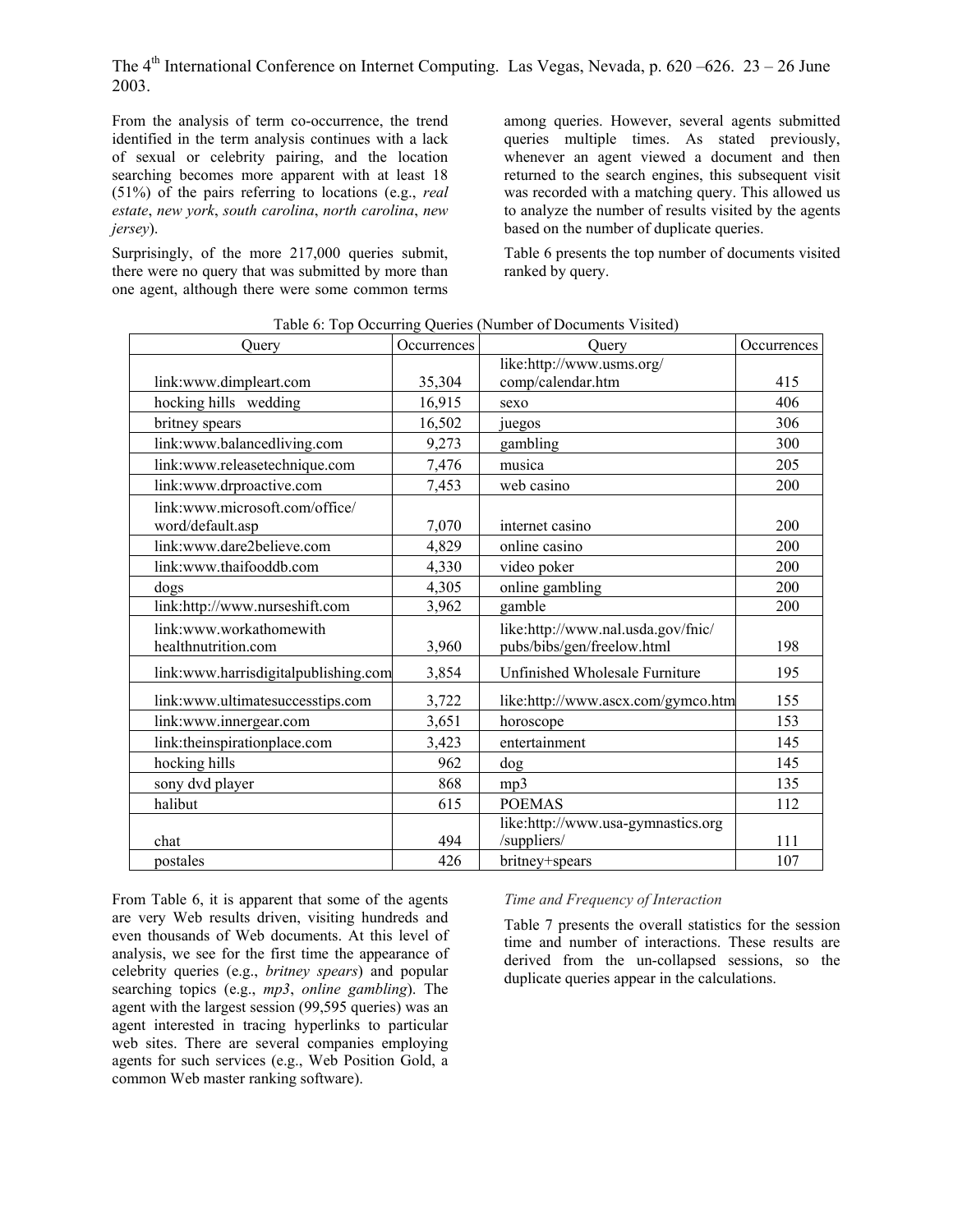From the analysis of term co-occurrence, the trend identified in the term analysis continues with a lack of sexual or celebrity pairing, and the location searching becomes more apparent with at least 18 (51%) of the pairs referring to locations (e.g., *real estate*, *new york*, *south carolina*, *north carolina*, *new jersey*).

Surprisingly, of the more 217,000 queries submit, there were no query that was submitted by more than one agent, although there were some common terms

among queries. However, several agents submitted queries multiple times. As stated previously, whenever an agent viewed a document and then returned to the search engines, this subsequent visit was recorded with a matching query. This allowed us to analyze the number of results visited by the agents based on the number of duplicate queries.

Table 6 presents the top number of documents visited ranked by query.

| Ouery                                | Occurrences | Ouery                              | Occurrences |
|--------------------------------------|-------------|------------------------------------|-------------|
|                                      |             | like:http://www.usms.org/          |             |
| link:www.dimpleart.com               | 35,304      | comp/calendar.htm                  | 415         |
| hocking hills wedding                | 16,915      | sexo                               | 406         |
| britney spears                       | 16,502      | juegos                             | 306         |
| link:www.balancedliving.com          | 9,273       | gambling                           | 300         |
| link:www.releasetechnique.com        | 7,476       | musica                             | 205         |
| link:www.drproactive.com             | 7,453       | web casino                         | 200         |
| link:www.microsoft.com/office/       |             |                                    |             |
| word/default.asp                     | 7,070       | internet casino                    | 200         |
| link:www.dare2believe.com            | 4,829       | online casino                      | 200         |
| link:www.thaifooddb.com              | 4,330       | video poker                        | 200         |
| dogs                                 | 4,305       | online gambling                    | 200         |
| link:http://www.nurseshift.com       | 3,962       | gamble                             | 200         |
| link:www.workathomewith              |             | like:http://www.nal.usda.gov/fnic/ |             |
| healthnutrition.com                  | 3,960       | pubs/bibs/gen/freelow.html         | 198         |
| link:www.harrisdigitalpublishing.com | 3,854       | Unfinished Wholesale Furniture     | 195         |
| link:www.ultimatesuccesstips.com     | 3,722       | like:http://www.ascx.com/gymco.htm | 155         |
| link:www.innergear.com               | 3,651       | horoscope                          | 153         |
| link:theinspirationplace.com         | 3,423       | entertainment                      | 145         |
| hocking hills                        | 962         | dog                                | 145         |
| sony dvd player                      | 868         | mp3                                | 135         |
| halibut                              | 615         | <b>POEMAS</b>                      | 112         |
|                                      |             | like:http://www.usa-gymnastics.org |             |
| chat                                 | 494         | /suppliers/                        | 111         |
| postales                             | 426         | britney+spears                     | 107         |

Table 6: Top Occurring Queries (Number of Documents Visited)

From Table 6, it is apparent that some of the agents are very Web results driven, visiting hundreds and even thousands of Web documents. At this level of analysis, we see for the first time the appearance of celebrity queries (e.g., *britney spears*) and popular searching topics (e.g., *mp3*, *online gambling*). The agent with the largest session (99,595 queries) was an agent interested in tracing hyperlinks to particular web sites. There are several companies employing agents for such services (e.g., Web Position Gold, a common Web master ranking software).

## *Time and Frequency of Interaction*

Table 7 presents the overall statistics for the session time and number of interactions. These results are derived from the un-collapsed sessions, so the duplicate queries appear in the calculations.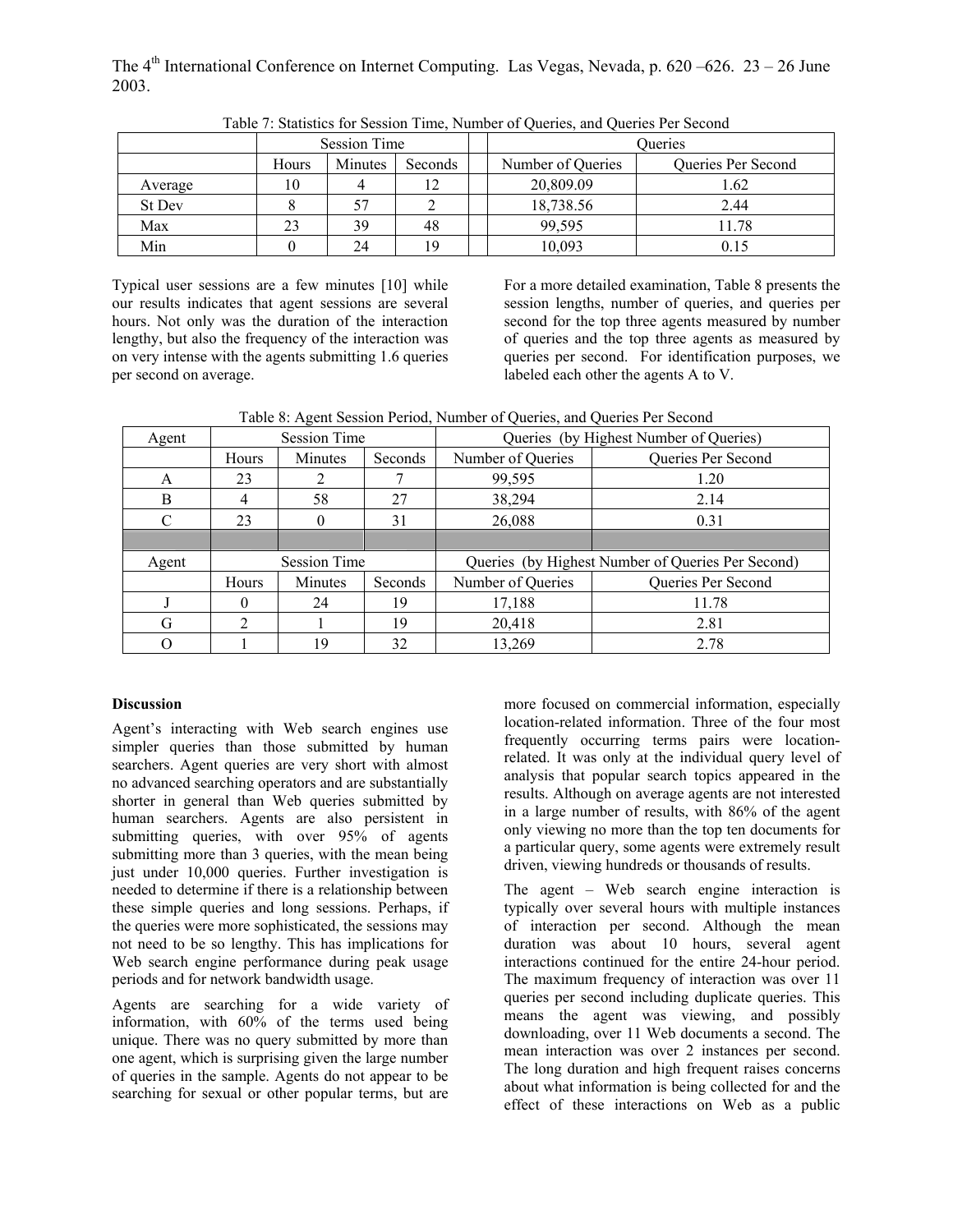|               | <b>Session Time</b> |         |         | Oueries           |                    |  |
|---------------|---------------------|---------|---------|-------------------|--------------------|--|
|               | Hours               | Minutes | Seconds | Number of Queries | Queries Per Second |  |
| Average       | 10                  |         |         | 20,809.09         | 1.62               |  |
| <b>St Dev</b> |                     | 57      |         | 18,738.56         | 2.44               |  |
| Max           | 23                  | 39      | 48      | 99,595            | 11.78              |  |
| Min           |                     | 24      | 19      | 10,093            | 0.15               |  |

Table 7: Statistics for Session Time, Number of Queries, and Queries Per Second

Typical user sessions are a few minutes [10] while our results indicates that agent sessions are several hours. Not only was the duration of the interaction lengthy, but also the frequency of the interaction was on very intense with the agents submitting 1.6 queries per second on average.

For a more detailed examination, Table 8 presents the session lengths, number of queries, and queries per second for the top three agents measured by number of queries and the top three agents as measured by queries per second. For identification purposes, we labeled each other the agents A to V.

| Table 8: Agent Session Period, Number of Queries, and Queries Per Second |  |
|--------------------------------------------------------------------------|--|
|                                                                          |  |
|                                                                          |  |

|       | -------             |          |         |                                                   |                    |  |  |
|-------|---------------------|----------|---------|---------------------------------------------------|--------------------|--|--|
| Agent | <b>Session Time</b> |          |         | Queries (by Highest Number of Queries)            |                    |  |  |
|       | Hours               | Minutes  | Seconds | Number of Queries                                 | Queries Per Second |  |  |
| A     | 23                  |          |         | 99,595                                            | 1.20               |  |  |
| B     | 4                   | 58       | 27      | 38,294                                            | 2.14               |  |  |
| C     | 23                  | $\theta$ | 31      | 26,088                                            | 0.31               |  |  |
|       |                     |          |         |                                                   |                    |  |  |
| Agent | <b>Session Time</b> |          |         | Queries (by Highest Number of Queries Per Second) |                    |  |  |
|       | Hours               | Minutes  | Seconds | Number of Queries                                 | Queries Per Second |  |  |
|       | $\Omega$            | 24       | 19      | 17,188                                            | 11.78              |  |  |
| G     |                     |          | 19      | 20,418                                            | 2.81               |  |  |
| О     |                     | 19       | 32      | 13,269                                            | 2.78               |  |  |

## **Discussion**

Agent's interacting with Web search engines use simpler queries than those submitted by human searchers. Agent queries are very short with almost no advanced searching operators and are substantially shorter in general than Web queries submitted by human searchers. Agents are also persistent in submitting queries, with over 95% of agents submitting more than 3 queries, with the mean being just under 10,000 queries. Further investigation is needed to determine if there is a relationship between these simple queries and long sessions. Perhaps, if the queries were more sophisticated, the sessions may not need to be so lengthy. This has implications for Web search engine performance during peak usage periods and for network bandwidth usage.

Agents are searching for a wide variety of information, with 60% of the terms used being unique. There was no query submitted by more than one agent, which is surprising given the large number of queries in the sample. Agents do not appear to be searching for sexual or other popular terms, but are

more focused on commercial information, especially location-related information. Three of the four most frequently occurring terms pairs were locationrelated. It was only at the individual query level of analysis that popular search topics appeared in the results. Although on average agents are not interested in a large number of results, with 86% of the agent only viewing no more than the top ten documents for a particular query, some agents were extremely result driven, viewing hundreds or thousands of results.

The agent – Web search engine interaction is typically over several hours with multiple instances of interaction per second. Although the mean duration was about 10 hours, several agent interactions continued for the entire 24-hour period. The maximum frequency of interaction was over 11 queries per second including duplicate queries. This means the agent was viewing, and possibly downloading, over 11 Web documents a second. The mean interaction was over 2 instances per second. The long duration and high frequent raises concerns about what information is being collected for and the effect of these interactions on Web as a public